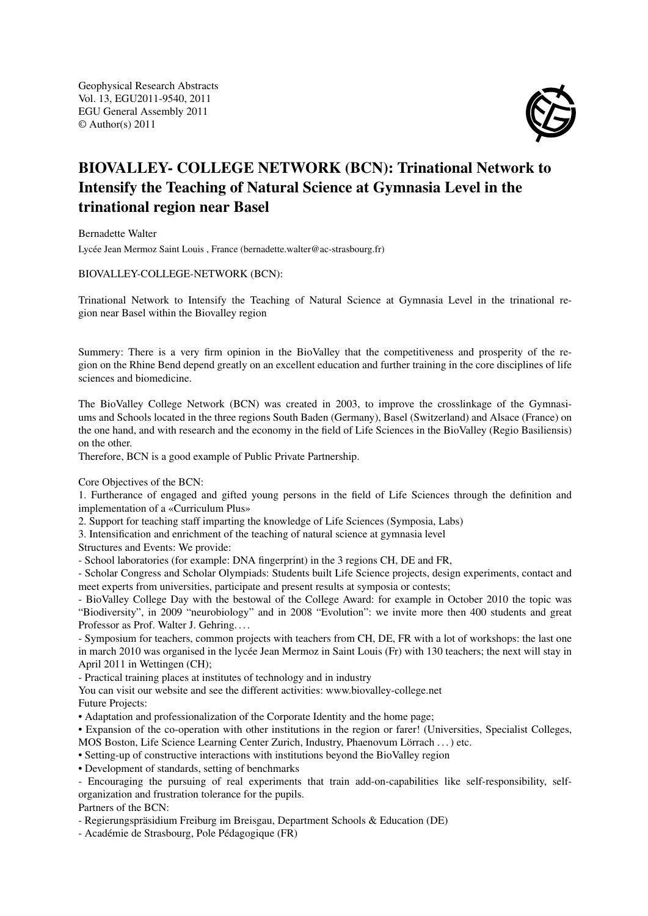Geophysical Research Abstracts Vol. 13, EGU2011-9540, 2011 EGU General Assembly 2011 © Author(s) 2011



## BIOVALLEY- COLLEGE NETWORK (BCN): Trinational Network to Intensify the Teaching of Natural Science at Gymnasia Level in the trinational region near Basel

Bernadette Walter

Lycée Jean Mermoz Saint Louis , France (bernadette.walter@ac-strasbourg.fr)

BIOVALLEY-COLLEGE-NETWORK (BCN):

Trinational Network to Intensify the Teaching of Natural Science at Gymnasia Level in the trinational region near Basel within the Biovalley region

Summery: There is a very firm opinion in the BioValley that the competitiveness and prosperity of the region on the Rhine Bend depend greatly on an excellent education and further training in the core disciplines of life sciences and biomedicine.

The BioValley College Network (BCN) was created in 2003, to improve the crosslinkage of the Gymnasiums and Schools located in the three regions South Baden (Germany), Basel (Switzerland) and Alsace (France) on the one hand, and with research and the economy in the field of Life Sciences in the BioValley (Regio Basiliensis) on the other.

Therefore, BCN is a good example of Public Private Partnership.

Core Objectives of the BCN:

1. Furtherance of engaged and gifted young persons in the field of Life Sciences through the definition and implementation of a «Curriculum Plus»

2. Support for teaching staff imparting the knowledge of Life Sciences (Symposia, Labs)

3. Intensification and enrichment of the teaching of natural science at gymnasia level

Structures and Events: We provide:

- School laboratories (for example: DNA fingerprint) in the 3 regions CH, DE and FR,

- Scholar Congress and Scholar Olympiads: Students built Life Science projects, design experiments, contact and meet experts from universities, participate and present results at symposia or contests;

- BioValley College Day with the bestowal of the College Award: for example in October 2010 the topic was "Biodiversity", in 2009 "neurobiology" and in 2008 "Evolution": we invite more then 400 students and great Professor as Prof. Walter J. Gehring....

- Symposium for teachers, common projects with teachers from CH, DE, FR with a lot of workshops: the last one in march 2010 was organised in the lycée Jean Mermoz in Saint Louis (Fr) with 130 teachers; the next will stay in April 2011 in Wettingen (CH);

- Practical training places at institutes of technology and in industry

You can visit our website and see the different activities: www.biovalley-college.net

Future Projects:

• Adaptation and professionalization of the Corporate Identity and the home page;

• Expansion of the co-operation with other institutions in the region or farer! (Universities, Specialist Colleges,

MOS Boston, Life Science Learning Center Zurich, Industry, Phaenovum Lörrach . . . ) etc.

• Setting-up of constructive interactions with institutions beyond the BioValley region

• Development of standards, setting of benchmarks

- Encouraging the pursuing of real experiments that train add-on-capabilities like self-responsibility, selforganization and frustration tolerance for the pupils.

Partners of the BCN:

- Regierungspräsidium Freiburg im Breisgau, Department Schools & Education (DE)

- Académie de Strasbourg, Pole Pédagogique (FR)